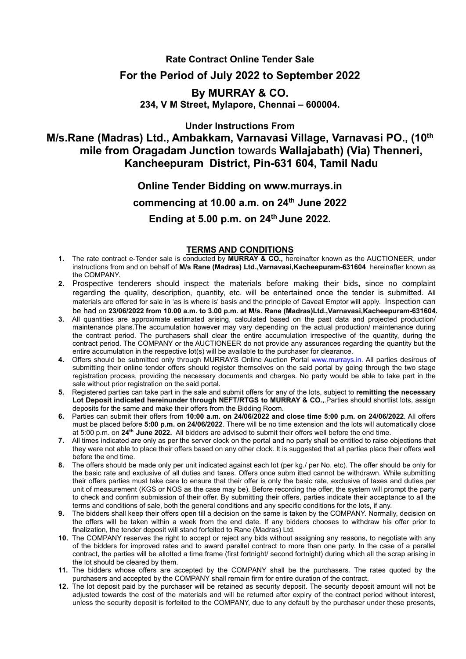### **Rate Contract Online Tender Sale**

## **For the Period of July 2022 to September 2022**

# **By MURRAY & CO. 234, V M Street, Mylapore, Chennai – 600004.**

**Under Instructions From**

**M/s.Rane (Madras) Ltd., Ambakkam, Varnavasi Village, Varnavasi PO., (10 th mile from Oragadam Junction** towards **Wallajabath) (Via) Thenneri, Kancheepuram District, Pin-631 604, Tamil Nadu**

# **Online Tender Bidding on www.murrays.in commencing at 10.00 a.m. on 24 th June 2022 Ending at 5.00 p.m. on 24 th June 2022.**

#### **TERMS AND CONDITIONS**

- **1.** The rate contract e-Tender sale is conducted by **MURRAY & CO.**, hereinafter known as the AUCTIONEER, under instructions from and on behalf of **M/s Rane (Madras) Ltd.,Varnavasi,Kacheepuram-631604** hereinafter known as the COMPANY.
- **2.** Prospective tenderers should inspect the materials before making their bids**,** since no complaint regarding the quality, description, quantity, etc. will be entertained once the tender is submitted. All materials are offered for sale in 'as is where is'basis and the principle of Caveat Emptor will apply. Inspection can be had on **23/06/2022 from 10.00 a.m. to 3.00 p.m. at M/s. Rane (Madras)Ltd.,Varnavasi,Kacheepuram-631604.**
- **3.** All quantities are approximate estimated arising, calculated based on the past data and projected production/ maintenance plans. The accumulation however may vary depending on the actual production/ maintenance during the contract period. The purchasers shall clear the entire accumulation irrespective of the quantity, during the contract period. The COMPANY or the AUCTIONEER do not provide any assurances regarding the quantity but the entire accumulation in the respective lot(s) will be available to the purchaser for clearance.
- **4.** Offers should be submitted only through MURRAYS Online Auction Portal [www.murrays.in.](http://www.murrays.in/) All parties desirous of submitting their online tender offers should register themselves on the said portal by going through the two stage registration process, providing the necessary documents and charges. No party would be able to take part in the sale without prior registration on the said portal.
- **5.** Registered parties can take part in the sale and submit offers for any of the lots, subject to **remitting the necessary Lot Deposit indicated hereinunder through NEFT/RTGS to MURRAY & CO.,**.Parties should shortlist lots, assign deposits for the same and make their offers from the Bidding Room.
- **6.** Parties can submit their offers from **10:00 a.m. on 24/06/2022 and close time 5:00 p.m. on 24/06/2022**. All offers must be placed before **5:00 p.m. on 24/06/2022**. There will be no time extension and the lots will automatically close at 5:00 p.m. on **24 th June 2022.** All bidders are advised to submit their offers well before the end time.
- **7.** All times indicated are only as per the server clock on the portal and no party shall be entitled to raise objections that they were not able to place their offers based on any other clock. It is suggested that all parties place their offers well before the end time.
- **8.** The offers should be made only per unit indicated against each lot (per kg./per No. etc). The offer should be only for the basic rate and exclusive of all duties and taxes. Offers once subm itted cannot be withdrawn. While submitting their offers parties must take care to ensure that their offer is only the basic rate, exclusive of taxes and duties per unit of measurement (KGS or NOS as the case may be). Before recording the offer, the system will prompt the party to check and confirm submission of their offer. By submitting their offers, parties indicate their acceptance to all the terms and conditions of sale, both the general conditions and any specific conditions for the lots, if any.
- **9.** The bidders shall keep their offers open till a decision on the same istaken by the COMPANY. Normally, decision on the offers will be taken within a week from the end date. If any bidders chooses to withdraw his offer prior to finalization, the tender deposit will stand forfeited to Rane (Madras) Ltd.
- **10.** The COMPANY reserves the right to accept or reject any bids without assigning any reasons, to negotiate with any of the bidders for improved rates and to award parallel contract to more than one party. In the case of a parallel contract, the parties will be allotted a time frame (first fortnight/ second fortnight) during which all the scrap arising in the lot should be cleared by them.
- **11.** The bidders whose offers are accepted by the COMPANY shall be the purchasers. The rates quoted by the purchasers and accepted by the COMPANY shall remain firm for entire duration of the contract.
- **12.** The lot deposit paid by the purchaser will be retained as security deposit. The security deposit amount will not be adjusted towards the cost of the materials and will be returned after expiry of the contract period without interest, unless the security deposit is forfeited to the COMPANY, due to any default by the purchaser under these presents,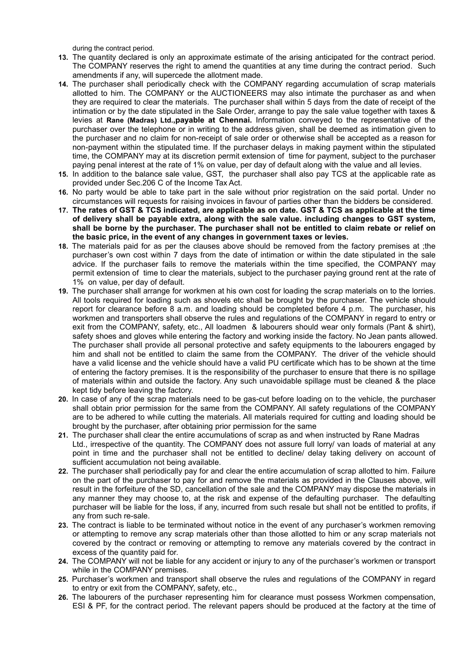during the contract period.

- **13.** The quantity declared is only an approximate estimate of the arising anticipated for the contract period. The COMPANY reserves the right to amend the quantities at any time during the contract period. Such amendments if any, will supercede the allotment made.
- **14.** The purchaser shall periodically check with the COMPANY regarding accumulation of scrap materials allotted to him. The COMPANY or the AUCTIONEERS may also intimate the purchaser as and when they are required to clear the materials. The purchaser shall within 5 days from the date of receipt of the intimation or by the date stipulated in the Sale Order, arrange to pay the sale value together with taxes & levies at **Rane (Madras) Ltd.,payable at Chennai.** Information conveyed to the representative of the purchaser over the telephone or in writing to the address given, shall be deemed as intimation given to the purchaser and no claim for non-receipt of sale order or otherwise shall be accepted as a reason for non-payment within the stipulated time. If the purchaser delays in making payment within the stipulated time, the COMPANY may at its discretion permit extension of time for payment, subject to the purchaser paying penal interest at the rate of 1% on value, per day of default along with the value and all levies.
- **15.** In addition to the balance sale value, GST, the purchaser shall also pay TCS at the applicable rate as provided under Sec.206 C of the Income Tax Act.
- **16.** No party would be able to take part in the sale without prior registration on the said portal. Under no circumstances will requests for raising invoices in favour of parties other than the bidders be considered.
- 17. The rates of GST & TCS indicated, are applicable as on date. GST & TCS as applicable at the time **of delivery shall be payable extra, along with the sale value. including changes to GST system, shall be borne by the purchaser. The purchaser shall not be entitled to claim rebate or relief on the basic price, in the event of any changes in government taxes or levies.**
- **18.** The materials paid for as per the clauses above should be removed from the factory premises at ;the purchaser's own cost within 7 days from the date of intimation or within the date stipulated in the sale advice. If the purchaser fails to remove the materials within the time specified, the COMPANY may permit extension of time to clear the materials, subject to the purchaser paying ground rent at the rate of 1% on value, per day of default.
- **19.** The purchaser shall arrange for workmen at his own cost for loading the scrap materials on to the lorries. All tools required for loading such as shovels etc shall be brought by the purchaser. The vehicle should report for clearance before 8 a.m. and loading should be completed before 4 p.m. The purchaser, his workmen and transporters shall observe the rules and regulations of the COMPANY in regard to entry or exit from the COMPANY, safety, etc., All loadmen & labourers should wear only formals (Pant & shirt), safety shoes and gloves while entering the factory and working inside the factory. No Jean pants allowed. The purchaser shall provide all personal protective and safety equipments to the labourers engaged by him and shall not be entitled to claim the same from the COMPANY. The driver of the vehicle should have a valid license and the vehicle should have a valid PU certificate which has to be shown at the time of entering the factory premises. It is the responsibility of the purchaser to ensure that there is no spillage of materials within and outside the factory. Any such unavoidable spillage must be cleaned & the place kept tidy before leaving the factory.
- **20.** In case of any of the scrap materials need to be gas-cut before loading on to the vehicle, the purchaser shall obtain prior permission for the same from the COMPANY. All safety regulations of the COMPANY are to be adhered to while cutting the materials. All materials required for cutting and loading should be brought by the purchaser, after obtaining prior permission for the same
- **21.** The purchaser shall clear the entire accumulations of scrap as and when instructed by Rane Madras Ltd., irrespective of the quantity. The COMPANY does not assure full lorry/ van loads of material at any point in time and the purchaser shall not be entitled to decline/ delay taking delivery on account of sufficient accumulation not being available.
- **22.** The purchaser shall periodically pay for and clear the entire accumulation of scrap allotted to him. Failure on the part of the purchaser to pay for and remove the materials as provided in the Clauses above, will result in the forfeiture of the SD, cancellation of the sale and the COMPANY may dispose the materials in any manner they may choose to, at the risk and expense of the defaulting purchaser. The defaulting purchaser will be liable for the loss, if any, incurred from such resale but shall not be entitled to profits, if any from such re-sale.
- **23.** The contract is liable to be terminated without notice in the event of any purchaser's workmen removing or attempting to remove any scrap materials other than those allotted to him or any scrap materials not covered by the contract or removing or attempting to remove any materials covered by the contract in excess of the quantity paid for.
- **24.** The COMPANY will not be liable for any accident or injury to any of the purchaser's workmen or transport while in the COMPANY premises.
- **25.** Purchaser's workmen and transport shall observe the rules and regulations of the COMPANY in regard to entry or exit from the COMPANY, safety, etc.,
- **26.** The labourers of the purchaser representing him for clearance must possess Workmen compensation, ESI & PF, for the contract period. The relevant papers should be produced at the factory at the time of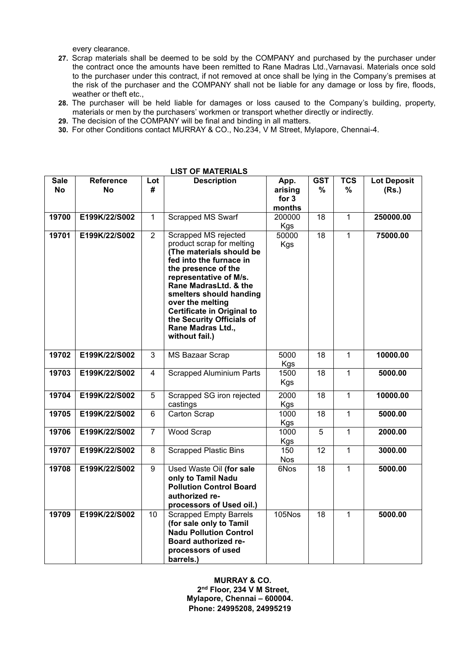every clearance.

- 27. Scrap materials shall be deemed to be sold by the COMPANY and purchased by the purchaser under the contract once the amounts have been remitted to Rane Madras Ltd.,Varnavasi. Materials once sold to the purchaser under this contract, if not removed at once shall be lying in the Company's premises at the risk of the purchaser and the COMPANY shall not be liable for any damage or loss by fire, floods, weather or theft etc.,
- 28. The purchaser will be held liable for damages or loss caused to the Company's building, property, materials or men by the purchasers' workmen or transport whether directly or indirectly.
- **29.** The decision of the COMPANY will be final and binding in all matters.
- **30.** For other Conditions contact MURRAY & CO., No.234, V M Street, Mylapore, Chennai-4.

|                          |                               |                | <b>IUALEINALY</b>                                                                                                                                                                                                                                                                                                                          |                                    |                 |                 |                             |
|--------------------------|-------------------------------|----------------|--------------------------------------------------------------------------------------------------------------------------------------------------------------------------------------------------------------------------------------------------------------------------------------------------------------------------------------------|------------------------------------|-----------------|-----------------|-----------------------------|
| <b>Sale</b><br><b>No</b> | <b>Reference</b><br><b>No</b> | Lot<br>#       | <b>Description</b>                                                                                                                                                                                                                                                                                                                         | App.<br>arising<br>for 3<br>months | <b>GST</b><br>% | <b>TCS</b><br>% | <b>Lot Deposit</b><br>(Rs.) |
| 19700                    | E199K/22/S002                 | $\mathbf{1}$   | Scrapped MS Swarf                                                                                                                                                                                                                                                                                                                          | 200000<br><b>Kgs</b>               | 18              | $\mathbf{1}$    | 250000.00                   |
| 19701                    | E199K/22/S002                 | $\overline{2}$ | Scrapped MS rejected<br>product scrap for melting<br>(The materials should be<br>fed into the furnace in<br>the presence of the<br>representative of M/s.<br>Rane MadrasLtd. & the<br>smelters should handing<br>over the melting<br><b>Certificate in Original to</b><br>the Security Officials of<br>Rane Madras Ltd.,<br>without fail.) | 50000<br><b>Kgs</b>                | 18              | $\mathbf{1}$    | 75000.00                    |
| 19702                    | E199K/22/S002                 | 3              | <b>MS Bazaar Scrap</b>                                                                                                                                                                                                                                                                                                                     | 5000<br><b>Kgs</b>                 | 18              | $\mathbf{1}$    | 10000.00                    |
| 19703                    | E199K/22/S002                 | 4              | <b>Scrapped Aluminium Parts</b>                                                                                                                                                                                                                                                                                                            | 1500<br>Kgs                        | 18              | $\mathbf{1}$    | 5000.00                     |
| 19704                    | E199K/22/S002                 | 5              | Scrapped SG iron rejected<br>castings                                                                                                                                                                                                                                                                                                      | 2000<br>Kgs                        | 18              | $\mathbf{1}$    | 10000.00                    |
| 19705                    | E199K/22/S002                 | 6              | Carton Scrap                                                                                                                                                                                                                                                                                                                               | 1000<br><b>Kgs</b>                 | 18              | $\mathbf{1}$    | 5000.00                     |
| 19706                    | E199K/22/S002                 | $\overline{7}$ | <b>Wood Scrap</b>                                                                                                                                                                                                                                                                                                                          | 1000<br><b>Kgs</b>                 | 5               | $\mathbf{1}$    | 2000.00                     |
| 19707                    | E199K/22/S002                 | 8              | <b>Scrapped Plastic Bins</b>                                                                                                                                                                                                                                                                                                               | 150<br><b>Nos</b>                  | 12              | $\mathbf{1}$    | 3000.00                     |
| 19708                    | E199K/22/S002                 | 9              | Used Waste Oil (for sale<br>only to Tamil Nadu<br><b>Pollution Control Board</b><br>authorized re-<br>processors of Used oil.)                                                                                                                                                                                                             | 6Nos                               | 18              | $\mathbf{1}$    | 5000.00                     |
| 19709                    | E199K/22/S002                 | 10             | <b>Scrapped Empty Barrels</b><br>(for sale only to Tamil<br><b>Nadu Pollution Control</b><br>Board authorized re-<br>processors of used<br>barrels.)                                                                                                                                                                                       | <b>105Nos</b>                      | 18              | $\mathbf{1}$    | 5000.00                     |

## **LIST OF MATERIALS**

**MURRAY & CO. 2 nd Floor, 234 V M Street, Mylapore, Chennai – 600004. Phone: 24995208, 24995219**